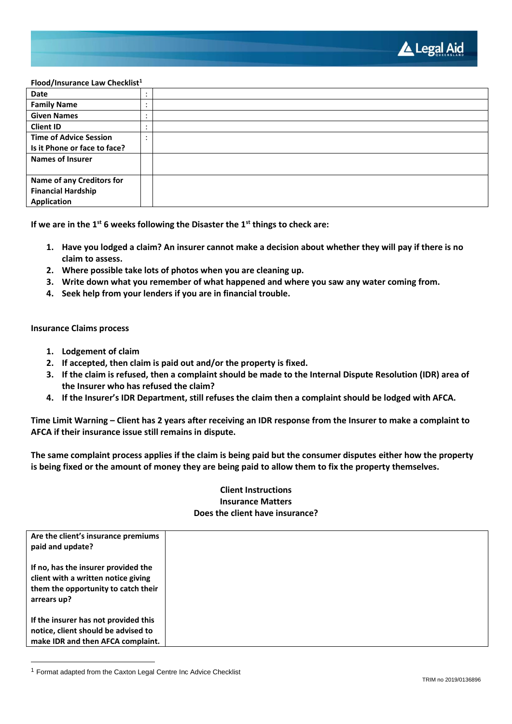

### **Flood/Insurance Law Checklist<sup>1</sup>**

| <b>Date</b>                      | $\bullet$<br>$\cdot$     |  |
|----------------------------------|--------------------------|--|
| <b>Family Name</b>               | ٠                        |  |
| <b>Given Names</b>               | ٠<br>$\cdot$             |  |
| <b>Client ID</b>                 | $\overline{\phantom{a}}$ |  |
| <b>Time of Advice Session</b>    | $\cdot$                  |  |
| Is it Phone or face to face?     |                          |  |
| <b>Names of Insurer</b>          |                          |  |
|                                  |                          |  |
| <b>Name of any Creditors for</b> |                          |  |
| <b>Financial Hardship</b>        |                          |  |
| Application                      |                          |  |

**If we are in the 1st 6 weeks following the Disaster the 1st things to check are:**

- **1. Have you lodged a claim? An insurer cannot make a decision about whether they will pay if there is no claim to assess.**
- **2. Where possible take lots of photos when you are cleaning up.**
- **3. Write down what you remember of what happened and where you saw any water coming from.**
- **4. Seek help from your lenders if you are in financial trouble.**

**Insurance Claims process**

- **1. Lodgement of claim**
- **2. If accepted, then claim is paid out and/or the property is fixed.**
- **3. If the claim is refused, then a complaint should be made to the Internal Dispute Resolution (IDR) area of the Insurer who has refused the claim?**
- **4. If the Insurer's IDR Department, still refuses the claim then a complaint should be lodged with AFCA.**

**Time Limit Warning – Client has 2 years after receiving an IDR response from the Insurer to make a complaint to AFCA if their insurance issue still remains in dispute.**

**The same complaint process applies if the claim is being paid but the consumer disputes either how the property is being fixed or the amount of money they are being paid to allow them to fix the property themselves.**

## **Client Instructions Insurance Matters Does the client have insurance?**

| Are the client's insurance premiums<br>paid and update?                                                                          |  |
|----------------------------------------------------------------------------------------------------------------------------------|--|
| If no, has the insurer provided the<br>client with a written notice giving<br>them the opportunity to catch their<br>arrears up? |  |
| If the insurer has not provided this<br>notice, client should be advised to<br>make IDR and then AFCA complaint.                 |  |

<sup>1</sup> Format adapted from the Caxton Legal Centre Inc Advice Checklist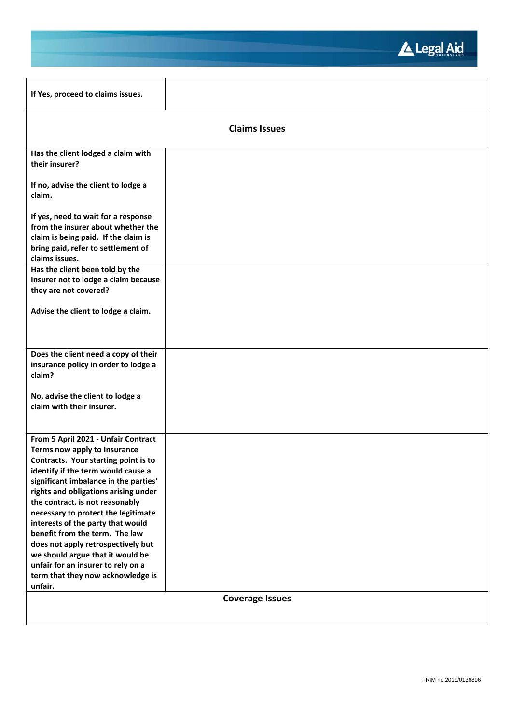

| If Yes, proceed to claims issues.                                                                                                                                         |                        |
|---------------------------------------------------------------------------------------------------------------------------------------------------------------------------|------------------------|
|                                                                                                                                                                           | <b>Claims Issues</b>   |
| Has the client lodged a claim with<br>their insurer?                                                                                                                      |                        |
| If no, advise the client to lodge a<br>claim.                                                                                                                             |                        |
| If yes, need to wait for a response<br>from the insurer about whether the<br>claim is being paid. If the claim is<br>bring paid, refer to settlement of<br>claims issues. |                        |
| Has the client been told by the<br>Insurer not to lodge a claim because                                                                                                   |                        |
| they are not covered?                                                                                                                                                     |                        |
| Advise the client to lodge a claim.                                                                                                                                       |                        |
| Does the client need a copy of their<br>insurance policy in order to lodge a                                                                                              |                        |
| claim?                                                                                                                                                                    |                        |
| No, advise the client to lodge a<br>claim with their insurer.                                                                                                             |                        |
| From 5 April 2021 - Unfair Contract                                                                                                                                       |                        |
| Terms now apply to Insurance<br>Contracts. Your starting point is to                                                                                                      |                        |
| identify if the term would cause a<br>significant imbalance in the parties'                                                                                               |                        |
| rights and obligations arising under                                                                                                                                      |                        |
| the contract. is not reasonably<br>necessary to protect the legitimate                                                                                                    |                        |
| interests of the party that would                                                                                                                                         |                        |
| benefit from the term. The law                                                                                                                                            |                        |
| does not apply retrospectively but                                                                                                                                        |                        |
| we should argue that it would be<br>unfair for an insurer to rely on a                                                                                                    |                        |
| term that they now acknowledge is                                                                                                                                         |                        |
| unfair.                                                                                                                                                                   |                        |
|                                                                                                                                                                           | <b>Coverage Issues</b> |
|                                                                                                                                                                           |                        |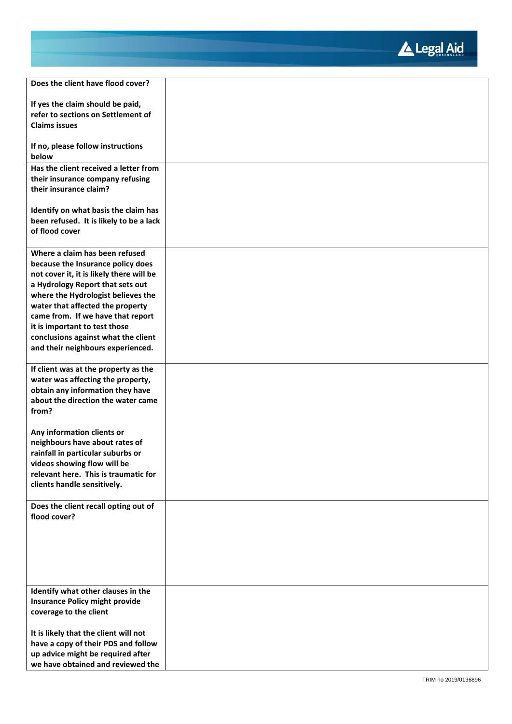

| Does the client have flood cover?                                     |  |
|-----------------------------------------------------------------------|--|
|                                                                       |  |
| If yes the claim should be paid,                                      |  |
| refer to sections on Settlement of                                    |  |
| <b>Claims issues</b>                                                  |  |
|                                                                       |  |
| If no, please follow instructions<br>below                            |  |
| Has the client received a letter from                                 |  |
| their insurance company refusing                                      |  |
| their insurance claim?                                                |  |
|                                                                       |  |
| Identify on what basis the claim has                                  |  |
| been refused. It is likely to be a lack                               |  |
| of flood cover                                                        |  |
|                                                                       |  |
| Where a claim has been refused                                        |  |
| because the Insurance policy does                                     |  |
| not cover it, it is likely there will be                              |  |
| a Hydrology Report that sets out                                      |  |
| where the Hydrologist believes the                                    |  |
| water that affected the property                                      |  |
| came from. If we have that report                                     |  |
| it is important to test those                                         |  |
| conclusions against what the client                                   |  |
| and their neighbours experienced.                                     |  |
|                                                                       |  |
| If client was at the property as the                                  |  |
| water was affecting the property,<br>obtain any information they have |  |
| about the direction the water came                                    |  |
| from?                                                                 |  |
|                                                                       |  |
| Any information clients or                                            |  |
| neighbours have about rates of                                        |  |
| rainfall in particular suburbs or                                     |  |
| videos showing flow will be                                           |  |
| relevant here. This is traumatic for                                  |  |
| clients handle sensitively.                                           |  |
|                                                                       |  |
| Does the client recall opting out of                                  |  |
| flood cover?                                                          |  |
|                                                                       |  |
|                                                                       |  |
|                                                                       |  |
|                                                                       |  |
|                                                                       |  |
| Identify what other clauses in the                                    |  |
| <b>Insurance Policy might provide</b>                                 |  |
| coverage to the client                                                |  |
|                                                                       |  |
| It is likely that the client will not                                 |  |
| have a copy of their PDS and follow                                   |  |
| up advice might be required after                                     |  |
| we have obtained and reviewed the                                     |  |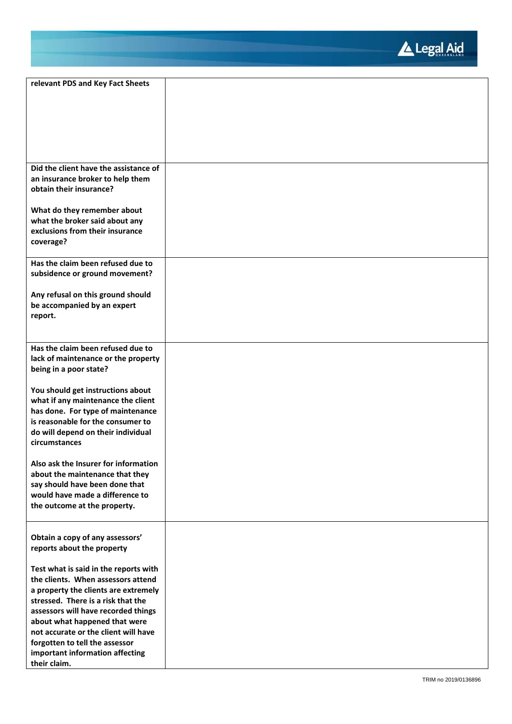

| relevant PDS and Key Fact Sheets      |  |
|---------------------------------------|--|
|                                       |  |
|                                       |  |
|                                       |  |
|                                       |  |
|                                       |  |
|                                       |  |
|                                       |  |
|                                       |  |
| Did the client have the assistance of |  |
| an insurance broker to help them      |  |
| obtain their insurance?               |  |
|                                       |  |
| What do they remember about           |  |
| what the broker said about any        |  |
| exclusions from their insurance       |  |
|                                       |  |
| coverage?                             |  |
|                                       |  |
| Has the claim been refused due to     |  |
| subsidence or ground movement?        |  |
|                                       |  |
| Any refusal on this ground should     |  |
| be accompanied by an expert           |  |
| report.                               |  |
|                                       |  |
|                                       |  |
| Has the claim been refused due to     |  |
|                                       |  |
| lack of maintenance or the property   |  |
| being in a poor state?                |  |
|                                       |  |
| You should get instructions about     |  |
| what if any maintenance the client    |  |
| has done. For type of maintenance     |  |
| is reasonable for the consumer to     |  |
| do will depend on their individual    |  |
| circumstances                         |  |
|                                       |  |
| Also ask the Insurer for information  |  |
| about the maintenance that they       |  |
| say should have been done that        |  |
|                                       |  |
| would have made a difference to       |  |
| the outcome at the property.          |  |
|                                       |  |
|                                       |  |
| Obtain a copy of any assessors'       |  |
| reports about the property            |  |
|                                       |  |
| Test what is said in the reports with |  |
| the clients. When assessors attend    |  |
| a property the clients are extremely  |  |
| stressed. There is a risk that the    |  |
| assessors will have recorded things   |  |
| about what happened that were         |  |
| not accurate or the client will have  |  |
| forgotten to tell the assessor        |  |
|                                       |  |
| important information affecting       |  |
| their claim.                          |  |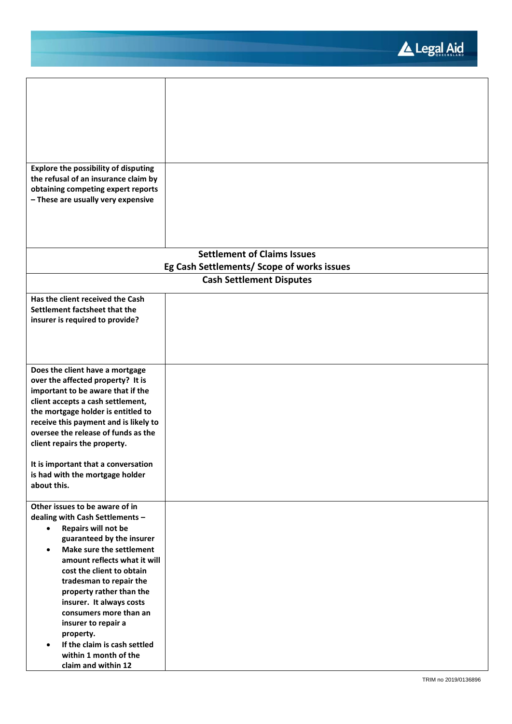Legal Aid

 $\overline{\phantom{a}}$ 

| <b>Explore the possibility of disputing</b><br>the refusal of an insurance claim by<br>obtaining competing expert reports<br>- These are usually very expensive                                                                                                                                                                                                                                                                                                                        |                                            |
|----------------------------------------------------------------------------------------------------------------------------------------------------------------------------------------------------------------------------------------------------------------------------------------------------------------------------------------------------------------------------------------------------------------------------------------------------------------------------------------|--------------------------------------------|
|                                                                                                                                                                                                                                                                                                                                                                                                                                                                                        | <b>Settlement of Claims Issues</b>         |
|                                                                                                                                                                                                                                                                                                                                                                                                                                                                                        | Eg Cash Settlements/ Scope of works issues |
|                                                                                                                                                                                                                                                                                                                                                                                                                                                                                        | <b>Cash Settlement Disputes</b>            |
| Has the client received the Cash<br>Settlement factsheet that the<br>insurer is required to provide?                                                                                                                                                                                                                                                                                                                                                                                   |                                            |
| Does the client have a mortgage<br>over the affected property? It is<br>important to be aware that if the<br>client accepts a cash settlement,<br>the mortgage holder is entitled to<br>receive this payment and is likely to<br>oversee the release of funds as the<br>client repairs the property.<br>It is important that a conversation<br>is had with the mortgage holder<br>about this.                                                                                          |                                            |
| Other issues to be aware of in<br>dealing with Cash Settlements -<br>Repairs will not be<br>$\bullet$<br>guaranteed by the insurer<br>Make sure the settlement<br>$\bullet$<br>amount reflects what it will<br>cost the client to obtain<br>tradesman to repair the<br>property rather than the<br>insurer. It always costs<br>consumers more than an<br>insurer to repair a<br>property.<br>If the claim is cash settled<br>$\bullet$<br>within 1 month of the<br>claim and within 12 |                                            |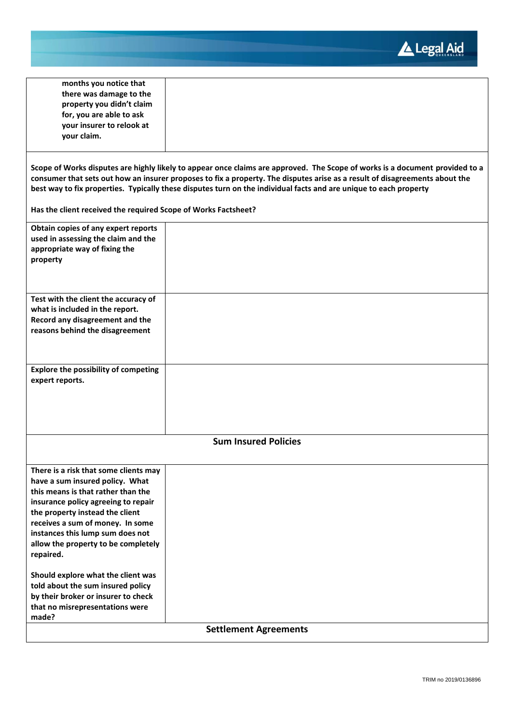

| months you notice that                                         |                                                                                                                              |
|----------------------------------------------------------------|------------------------------------------------------------------------------------------------------------------------------|
|                                                                |                                                                                                                              |
| there was damage to the                                        |                                                                                                                              |
| property you didn't claim                                      |                                                                                                                              |
| for, you are able to ask                                       |                                                                                                                              |
| your insurer to relook at                                      |                                                                                                                              |
| your claim.                                                    |                                                                                                                              |
|                                                                |                                                                                                                              |
|                                                                |                                                                                                                              |
|                                                                | Scope of Works disputes are highly likely to appear once claims are approved. The Scope of works is a document provided to a |
|                                                                | consumer that sets out how an insurer proposes to fix a property. The disputes arise as a result of disagreements about the  |
|                                                                | best way to fix properties. Typically these disputes turn on the individual facts and are unique to each property            |
|                                                                |                                                                                                                              |
| Has the client received the required Scope of Works Factsheet? |                                                                                                                              |
| Obtain copies of any expert reports                            |                                                                                                                              |
| used in assessing the claim and the                            |                                                                                                                              |
| appropriate way of fixing the                                  |                                                                                                                              |
| property                                                       |                                                                                                                              |
|                                                                |                                                                                                                              |
|                                                                |                                                                                                                              |
|                                                                |                                                                                                                              |
| Test with the client the accuracy of                           |                                                                                                                              |
| what is included in the report.                                |                                                                                                                              |
| Record any disagreement and the                                |                                                                                                                              |
| reasons behind the disagreement                                |                                                                                                                              |
|                                                                |                                                                                                                              |
|                                                                |                                                                                                                              |
|                                                                |                                                                                                                              |
| <b>Explore the possibility of competing</b>                    |                                                                                                                              |
| expert reports.                                                |                                                                                                                              |
|                                                                |                                                                                                                              |
|                                                                |                                                                                                                              |
|                                                                |                                                                                                                              |
|                                                                |                                                                                                                              |
|                                                                |                                                                                                                              |
|                                                                | <b>Sum Insured Policies</b>                                                                                                  |
|                                                                |                                                                                                                              |
| There is a risk that some clients may                          |                                                                                                                              |
| have a sum insured policy. What                                |                                                                                                                              |
| this means is that rather than the                             |                                                                                                                              |
| insurance policy agreeing to repair                            |                                                                                                                              |
| the property instead the client                                |                                                                                                                              |
| receives a sum of money. In some                               |                                                                                                                              |
| instances this lump sum does not                               |                                                                                                                              |
| allow the property to be completely                            |                                                                                                                              |
|                                                                |                                                                                                                              |
| repaired.                                                      |                                                                                                                              |
|                                                                |                                                                                                                              |
| Should explore what the client was                             |                                                                                                                              |
| told about the sum insured policy                              |                                                                                                                              |
| by their broker or insurer to check                            |                                                                                                                              |
| that no misrepresentations were                                |                                                                                                                              |
| made?                                                          |                                                                                                                              |
|                                                                | <b>Settlement Agreements</b>                                                                                                 |
|                                                                |                                                                                                                              |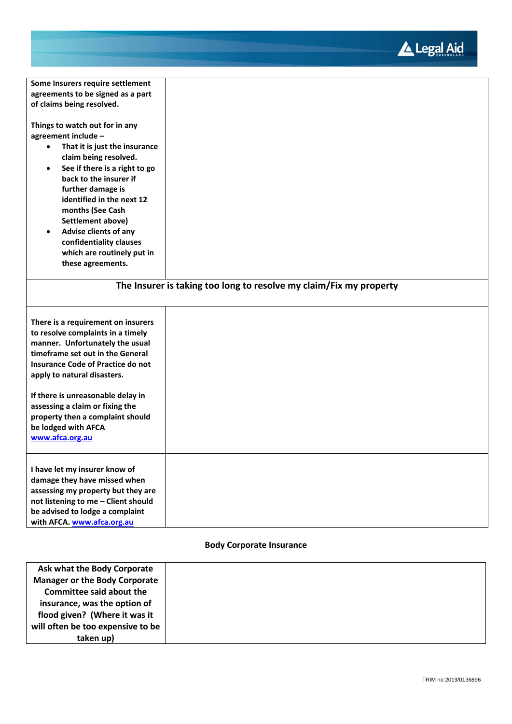

| Some Insurers require settlement                              |                                                                    |
|---------------------------------------------------------------|--------------------------------------------------------------------|
| agreements to be signed as a part                             |                                                                    |
| of claims being resolved.                                     |                                                                    |
|                                                               |                                                                    |
| Things to watch out for in any                                |                                                                    |
| agreement include -                                           |                                                                    |
| That it is just the insurance<br>$\bullet$                    |                                                                    |
| claim being resolved.                                         |                                                                    |
| See if there is a right to go<br>$\bullet$                    |                                                                    |
| back to the insurer if                                        |                                                                    |
| further damage is                                             |                                                                    |
| identified in the next 12                                     |                                                                    |
| months (See Cash                                              |                                                                    |
| Settlement above)                                             |                                                                    |
| <b>Advise clients of any</b><br>$\bullet$                     |                                                                    |
| confidentiality clauses                                       |                                                                    |
| which are routinely put in                                    |                                                                    |
| these agreements.                                             |                                                                    |
|                                                               |                                                                    |
|                                                               |                                                                    |
|                                                               | The Insurer is taking too long to resolve my claim/Fix my property |
|                                                               |                                                                    |
|                                                               |                                                                    |
| There is a requirement on insurers                            |                                                                    |
| to resolve complaints in a timely                             |                                                                    |
| manner. Unfortunately the usual                               |                                                                    |
| timeframe set out in the General                              |                                                                    |
| <b>Insurance Code of Practice do not</b>                      |                                                                    |
| apply to natural disasters.                                   |                                                                    |
|                                                               |                                                                    |
| If there is unreasonable delay in                             |                                                                    |
| assessing a claim or fixing the                               |                                                                    |
| property then a complaint should                              |                                                                    |
| be lodged with AFCA                                           |                                                                    |
| www.afca.org.au                                               |                                                                    |
|                                                               |                                                                    |
|                                                               |                                                                    |
|                                                               |                                                                    |
|                                                               |                                                                    |
| I have let my insurer know of                                 |                                                                    |
| damage they have missed when                                  |                                                                    |
| assessing my property but they are                            |                                                                    |
| not listening to me - Client should                           |                                                                    |
| be advised to lodge a complaint<br>with AFCA. www.afca.org.au |                                                                    |

# **Body Corporate Insurance**

| Ask what the Body Corporate          |  |
|--------------------------------------|--|
| <b>Manager or the Body Corporate</b> |  |
| <b>Committee said about the</b>      |  |
| insurance, was the option of         |  |
| flood given? (Where it was it        |  |
| will often be too expensive to be    |  |
| taken up)                            |  |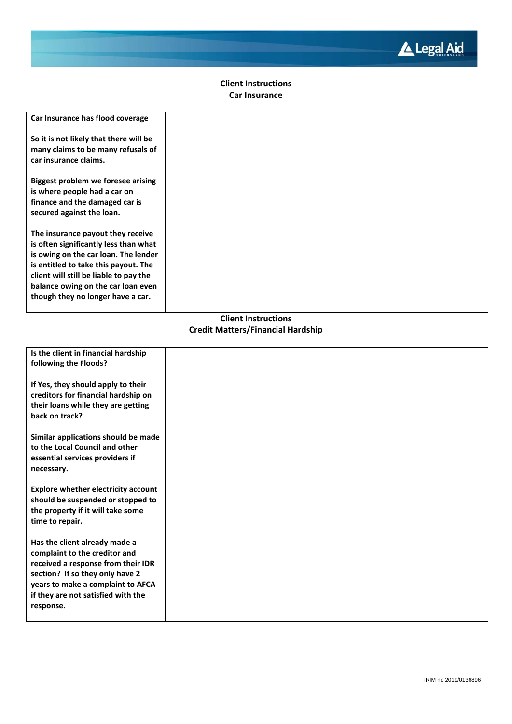

# **Client Instructions Car Insurance**

| Car Insurance has flood coverage                                                                                                                                                                                                                                                |
|---------------------------------------------------------------------------------------------------------------------------------------------------------------------------------------------------------------------------------------------------------------------------------|
| So it is not likely that there will be<br>many claims to be many refusals of<br>car insurance claims.                                                                                                                                                                           |
| Biggest problem we foresee arising<br>is where people had a car on<br>finance and the damaged car is<br>secured against the loan.                                                                                                                                               |
| The insurance payout they receive<br>is often significantly less than what<br>is owing on the car loan. The lender<br>is entitled to take this payout. The<br>client will still be liable to pay the<br>balance owing on the car loan even<br>though they no longer have a car. |

# **Client Instructions Credit Matters/Financial Hardship**

| Is the client in financial hardship<br>following the Floods?                                                                                                                                                                    |  |
|---------------------------------------------------------------------------------------------------------------------------------------------------------------------------------------------------------------------------------|--|
| If Yes, they should apply to their<br>creditors for financial hardship on<br>their loans while they are getting<br>back on track?                                                                                               |  |
| Similar applications should be made<br>to the Local Council and other<br>essential services providers if<br>necessary.                                                                                                          |  |
| <b>Explore whether electricity account</b><br>should be suspended or stopped to<br>the property if it will take some<br>time to repair.                                                                                         |  |
| Has the client already made a<br>complaint to the creditor and<br>received a response from their IDR<br>section? If so they only have 2<br>years to make a complaint to AFCA<br>if they are not satisfied with the<br>response. |  |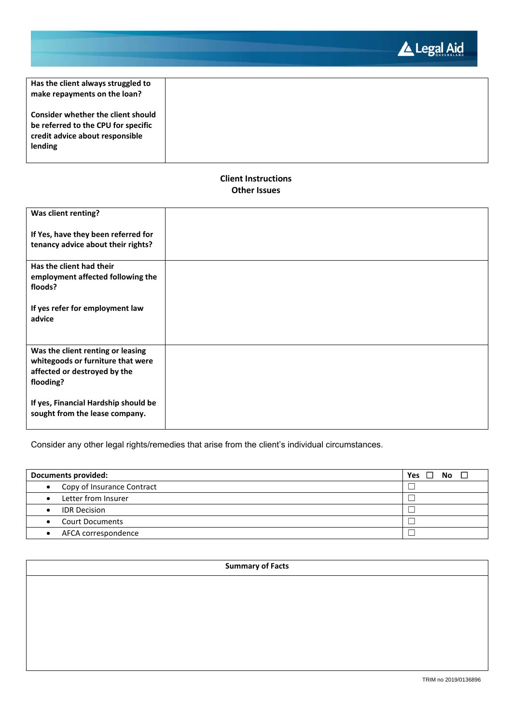Legal Aid

| Has the client always struggled to<br>make repayments on the loan?                                                      |  |
|-------------------------------------------------------------------------------------------------------------------------|--|
| Consider whether the client should<br>be referred to the CPU for specific<br>credit advice about responsible<br>lending |  |

# **Client Instructions Other Issues**

| Was client renting?                  |  |
|--------------------------------------|--|
| If Yes, have they been referred for  |  |
| tenancy advice about their rights?   |  |
| Has the client had their             |  |
| employment affected following the    |  |
| floods?                              |  |
| If yes refer for employment law      |  |
| advice                               |  |
|                                      |  |
|                                      |  |
| Was the client renting or leasing    |  |
| whitegoods or furniture that were    |  |
| affected or destroyed by the         |  |
|                                      |  |
| flooding?                            |  |
| If yes, Financial Hardship should be |  |
| sought from the lease company.       |  |
|                                      |  |
|                                      |  |

Consider any other legal rights/remedies that arise from the client's individual circumstances.

| <b>Documents provided:</b>          | <b>No</b><br>Yes<br>П |
|-------------------------------------|-----------------------|
| • Copy of Insurance Contract        |                       |
| Letter from Insurer<br>$\bullet$    |                       |
| <b>IDR Decision</b><br>$\bullet$    |                       |
| <b>Court Documents</b><br>$\bullet$ |                       |
| AFCA correspondence                 |                       |

# **Summary of Facts**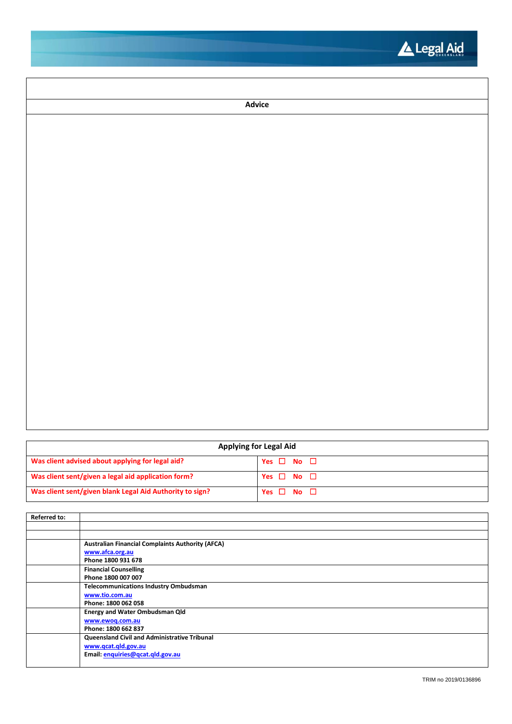

| Advice |
|--------|
|        |
|        |
|        |
|        |
|        |
|        |
|        |
|        |
|        |
|        |
|        |
|        |
|        |
|        |
|        |
|        |
|        |
|        |

| <b>Applying for Legal Aid</b>                            |                      |  |
|----------------------------------------------------------|----------------------|--|
| Was client advised about applying for legal aid?         | Yes $\Box$ No $\Box$ |  |
| Was client sent/given a legal aid application form?      | Yes $\Box$ No $\Box$ |  |
| Was client sent/given blank Legal Aid Authority to sign? | Yes $\Box$ No $\Box$ |  |

| <b>Referred to:</b> |                                                         |
|---------------------|---------------------------------------------------------|
|                     |                                                         |
|                     |                                                         |
|                     | <b>Australian Financial Complaints Authority (AFCA)</b> |
|                     | www.afca.org.au                                         |
|                     | Phone 1800 931 678                                      |
|                     | <b>Financial Counselling</b>                            |
|                     | Phone 1800 007 007                                      |
|                     | <b>Telecommunications Industry Ombudsman</b>            |
|                     | www.tio.com.au                                          |
|                     | Phone: 1800 062 058                                     |
|                     | <b>Energy and Water Ombudsman Qld</b>                   |
|                     | www.ewoq.com.au                                         |
|                     | Phone: 1800 662 837                                     |
|                     | Queensland Civil and Administrative Tribunal            |
|                     | www.qcat.qld.gov.au                                     |
|                     | Email: enquiries@qcat.qld.gov.au                        |
|                     |                                                         |